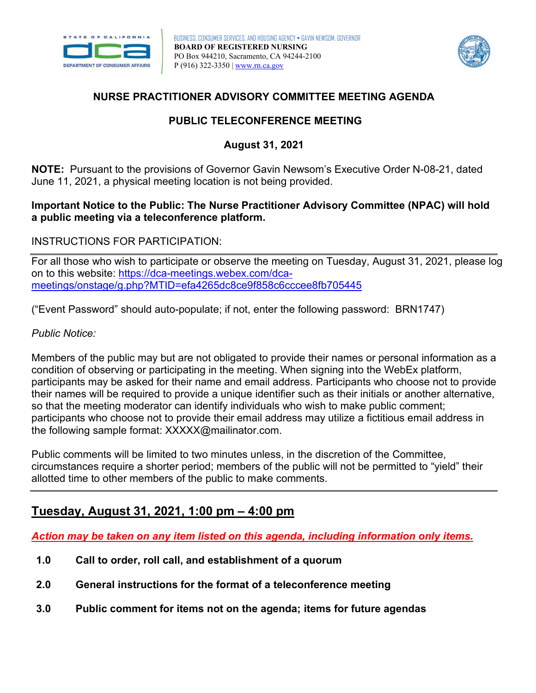



### **NURSE PRACTITIONER ADVISORY COMMITTEE MEETING AGENDA**

## **PUBLIC TELECONFERENCE MEETING**

## **August 31, 2021**

 June 11, 2021, a physical meeting location is not being provided. **NOTE:** Pursuant to the provisions of Governor Gavin Newsom's Executive Order N-08-21, dated

#### **Important Notice to the Public: The Nurse Practitioner Advisory Committee (NPAC) will hold a public meeting via a teleconference platform.**

#### INSTRUCTIONS FOR PARTICIPATION:

For all those who wish to participate or observe the meeting on Tuesday, August 31, 2021, please log on to this website: [https://dca-meetings.webex.com/dca](https://dca-meetings.webex.com/dca-meetings/onstage/g.php?MTID=efa4265dc8ce9f858c6cccee8fb705445)[meetings/onstage/g.php?MTID=efa4265dc8ce9f858c6cccee8fb705445](https://dca-meetings.webex.com/dca-meetings/onstage/g.php?MTID=efa4265dc8ce9f858c6cccee8fb705445) 

("Event Password" should auto-populate; if not, enter the following password: BRN1747)

#### *Public Notice:*

 Members of the public may but are not obligated to provide their names or personal information as a condition of observing or participating in the meeting. When signing into the WebEx platform, participants may be asked for their name and email address. Participants who choose not to provide their names will be required to provide a unique identifier such as their initials or another alternative, so that the meeting moderator can identify individuals who wish to make public comment; participants who choose not to provide their email address may utilize a fictitious email address in the following sample format: [XXXXX@mailinator.com.](mailto:XXXXX@mailinator.com)

Public comments will be limited to two minutes unless, in the discretion of the Committee, circumstances require a shorter period; members of the public will not be permitted to "yield" their allotted time to other members of the public to make comments.

# **Tuesday, August 31, 2021, 1:00 pm – 4:00 pm**

*Action may be taken on any item listed on this agenda, including information only items.* 

- **1.0 Call to order, roll call, and establishment of a quorum**
- **2.0 General instructions for the format of a teleconference meeting**
- **3.0 Public comment for items not on the agenda; items for future agendas**